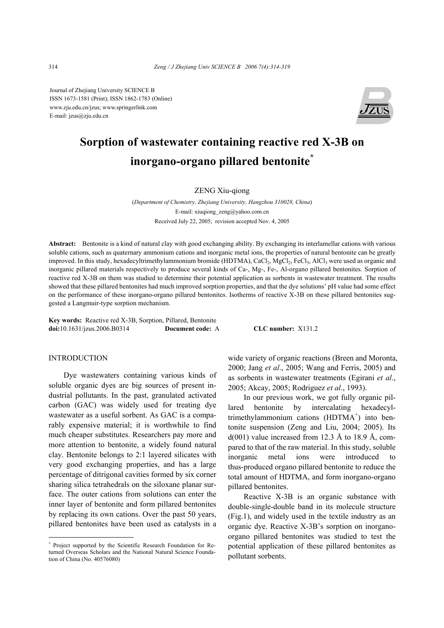Journal of Zhejiang University SCIENCE B ISSN 1673-1581 (Print); ISSN 1862-1783 (Online) www.zju.edu.cn/jzus; www.springerlink.com E-mail: jzus@zju.edu.cn



# **Sorption of wastewater containing reactive red X-3B on inorgano-organo pillared bentonite\***

# ZENG Xiu-qiong

(*Department of Chemistry, Zhejiang University, Hangzhou 310028, China*) E-mail: xiuqiong\_zeng@yahoo.com.cn Received July 22, 2005; revision accepted Nov. 4, 2005

**Abstract:** Bentonite is a kind of natural clay with good exchanging ability. By exchanging its interlamellar cations with various soluble cations, such as quaternary ammonium cations and inorganic metal ions, the properties of natural bentonite can be greatly improved. In this study, hexadecyltrimethylammonium bromide (HDTMA), CaCl<sub>2</sub>, MgCl<sub>2</sub>, FeCl<sub>3</sub>, AlCl<sub>3</sub> were used as organic and inorganic pillared materials respectively to produce several kinds of Ca-, Mg-, Fe-, Al-organo pillared bentonites. Sorption of reactive red X-3B on them was studied to determine their potential application as sorbents in wastewater treatment. The results showed that these pillared bentonites had much improved sorption properties, and that the dye solutions' pH value had some effect on the performance of these inorgano-organo pillared bentonites. Isotherms of reactive X-3B on these pillared bentonites suggested a Langmuir-type sorption mechanism.

**Key words:** Reactive red X-3B, Sorption, Pillared, Bentonite **doi:**10.1631/jzus.2006.B0314 **Document code:** A **CLC number:** X131.2

## INTRODUCTION

Dye wastewaters containing various kinds of soluble organic dyes are big sources of present industrial pollutants. In the past, granulated activated carbon (GAC) was widely used for treating dye wastewater as a useful sorbent. As GAC is a comparably expensive material; it is worthwhile to find much cheaper substitutes. Researchers pay more and more attention to bentonite, a widely found natural clay. Bentonite belongs to 2:1 layered silicates with very good exchanging properties, and has a large percentage of ditrigonal cavities formed by six corner sharing silica tetrahedrals on the siloxane planar surface. The outer cations from solutions can enter the inner layer of bentonite and form pillared bentonites by replacing its own cations. Over the past 50 years, pillared bentonites have been used as catalysts in a

wide variety of organic reactions (Breen and Moronta, 2000; Jang *et al*., 2005; Wang and Ferris, 2005) and as sorbents in wastewater treatments (Egirani *et al*., 2005; Akcay, 2005; Rodriguez *et al*., 1993).

In our previous work, we got fully organic pillared bentonite by intercalating hexadecyltrimethylammonium cations (HDTMA<sup>+</sup>) into bentonite suspension (Zeng and Liu, 2004; 2005). Its  $d(001)$  value increased from 12.3 Å to 18.9 Å, compared to that of the raw material. In this study, soluble inorganic metal ions were introduced to thus-produced organo pillared bentonite to reduce the total amount of HDTMA, and form inorgano-organo pillared bentonites.

Reactive X-3B is an organic substance with double-single-double band in its molecule structure (Fig.1), and widely used in the textile industry as an organic dye. Reactive X-3B's sorption on inorganoorgano pillared bentonites was studied to test the potential application of these pillared bentonites as pollutant sorbents.

<sup>\*</sup> Project supported by the Scientific Research Foundation for Returned Overseas Scholars and the National Natural Science Foundation of China (No. 40576080)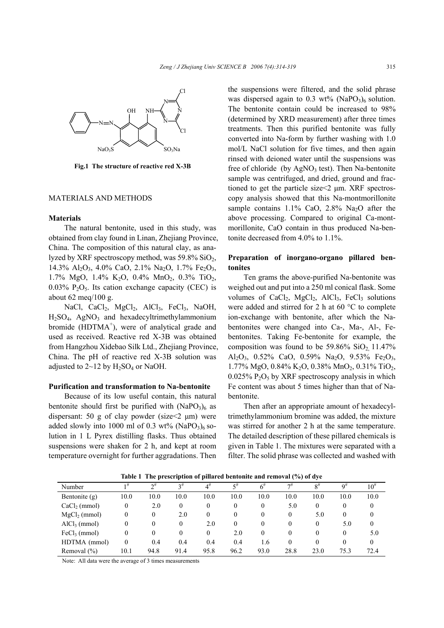

**Fig.1 The structure of reactive red X-3B** 

## MATERIALS AND METHODS

## **Materials**

The natural bentonite, used in this study, was obtained from clay found in Linan, Zhejiang Province, China. The composition of this natural clay, as analyzed by XRF spectroscopy method, was  $59.8\%$  SiO<sub>2</sub>, 14.3% Al<sub>2</sub>O<sub>3</sub>, 4.0% CaO, 2.1% Na<sub>2</sub>O, 1.7% Fe<sub>2</sub>O<sub>3</sub>, 1.7% MgO, 1.4% K<sub>2</sub>O, 0.4% MnO<sub>2</sub>, 0.3% TiO<sub>2</sub>,  $0.03\%$  P<sub>2</sub>O<sub>5</sub>. Its cation exchange capacity (CEC) is about 62 meq/100 g.

NaCl, CaCl<sub>2</sub>, MgCl<sub>2</sub>, AlCl<sub>3</sub>, FeCl<sub>3</sub>, NaOH, H<sub>2</sub>SO<sub>4</sub>, AgNO<sub>3</sub> and hexadecyltrimethylammonium bromide (HDTMA<sup>+</sup>), were of analytical grade and used as received. Reactive red X-3B was obtained from Hangzhou Xidebao Silk Ltd., Zhejiang Province, China. The pH of reactive red X-3B solution was adjusted to  $2\negthinspace \sim 12$  by  $H_2SO_4$  or NaOH.

## **Purification and transformation to Na-bentonite**

Because of its low useful contain, this natural bentonite should first be purified with  $(NaPO<sub>3</sub>)<sub>6</sub>$  as dispersant: 50 g of clay powder (size $\leq$ 2 µm) were added slowly into 1000 ml of 0.3 wt% (NaPO<sub>3</sub>)<sub>6</sub> solution in 1 L Pyrex distilling flasks. Thus obtained suspensions were shaken for 2 h, and kept at room temperature overnight for further aggradations. Then the suspensions were filtered, and the solid phrase was dispersed again to  $0.3 \text{ wt\%}$  (NaPO<sub>3</sub>)<sub>6</sub> solution. The bentonite contain could be increased to 98% (determined by XRD measurement) after three times treatments. Then this purified bentonite was fully converted into Na-form by further washing with 1.0 mol/L NaCl solution for five times, and then again rinsed with deioned water until the suspensions was free of chloride (by  $AgNO_3$  test). Then Na-bentonite sample was centrifuged, and dried, ground and fractioned to get the particle size<2 µm. XRF spectroscopy analysis showed that this Na-montmorillonite sample contains  $1.1\%$  CaO,  $2.8\%$  Na<sub>2</sub>O after the above processing. Compared to original Ca-montmorillonite, CaO contain in thus produced Na-bentonite decreased from 4.0% to 1.1%.

# **Preparation of inorgano-organo pillared bentonites**

Ten grams the above-purified Na-bentonite was weighed out and put into a 250 ml conical flask. Some volumes of  $CaCl<sub>2</sub>$ ,  $MgCl<sub>2</sub>$ ,  $AlCl<sub>3</sub>$ ,  $FeCl<sub>3</sub>$  solutions were added and stirred for 2 h at 60 °C to complete ion-exchange with bentonite, after which the Nabentonites were changed into Ca-, Ma-, Al-, Febentonites. Taking Fe-bentonite for example, the composition was found to be  $59.86\%$  SiO<sub>2</sub>, 11.47% Al<sub>2</sub>O<sub>3</sub>, 0.52% CaO, 0.59% Na<sub>2</sub>O, 9.53% Fe<sub>2</sub>O<sub>3</sub>, 1.77% MgO, 0.84% K<sub>2</sub>O, 0.38% MnO<sub>2</sub>, 0.31% TiO<sub>2</sub>,  $0.025\%$  P<sub>2</sub>O<sub>5</sub> by XRF spectroscopy analysis in which Fe content was about 5 times higher than that of Nabentonite.

Then after an appropriate amount of hexadecyltrimethylammonium bromine was added, the mixture was stirred for another 2 h at the same temperature. The detailed description of these pillared chemicals is given in Table 1. The mixtures were separated with a filter. The solid phrase was collected and washed with

| Number                   | 1#       | $\mathcal{D}^{\#}$ | $2^{\#}$ | $4^{\#}$         | 5#               | $6^{\#}$ | $\neg$ # | $8^{\#}$ | $\alpha^{\#}$ | $10^{\rm \#}$ |
|--------------------------|----------|--------------------|----------|------------------|------------------|----------|----------|----------|---------------|---------------|
| Bentonite $(g)$          | 10.0     | 10.0               | 10.0     | 10.0             | 10.0             | 10.0     | 10.0     | 10.0     | 10.0          | 10.0          |
| $CaCl2$ (mmol)           | 0        | 2.0                | 0        | 0                | $\boldsymbol{0}$ | 0        | 5.0      |          |               |               |
| $MgCl2$ (mmol)           | 0        | $\theta$           | 2.0      | 0                | $\boldsymbol{0}$ | $\Omega$ | $\theta$ | 5.0      | 0             |               |
| AlCl <sub>3</sub> (mmol) | 0        | $\theta$           | 0        | 2.0              | $\theta$         | 0        | $\left($ | 0        | 5.0           | $\theta$      |
| $FeCl3$ (mmol)           | 0        | $\theta$           | 0        | $\boldsymbol{0}$ | 2.0              | $\Omega$ | $\theta$ | $\theta$ | $\theta$      | 5.0           |
| HDTMA (mmol)             | $\theta$ | 0.4                | 0.4      | 0.4              | 0.4              | 1.6      | 0        | 0        | 0             | 0             |
| Removal $(\% )$          | 10.1     | 94.8               | 91.4     | 95.8             | 96.2             | 93.0     | 28.8     | 23.0     | 75.3          | 72.4          |

**Table 1 The prescription of pillared bentonite and removal (%) of dye** 

Note: All data were the average of 3 times measurements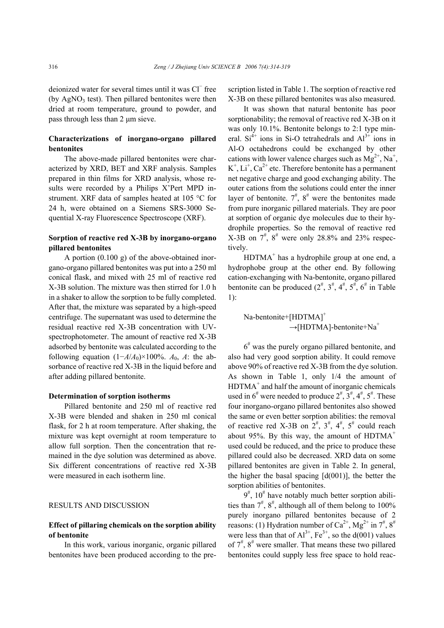deionized water for several times until it was Cl<sup>−</sup> free (by  $AgNO<sub>3</sub>$  test). Then pillared bentonites were then dried at room temperature, ground to powder, and pass through less than 2 µm sieve.

# **Characterizations of inorgano-organo pillared bentonites**

The above-made pillared bentonites were characterized by XRD, BET and XRF analysis. Samples prepared in thin films for XRD analysis, whose results were recorded by a Philips X'Pert MPD instrument. XRF data of samples heated at 105 °C for 24 h, were obtained on a Siemens SRS-3000 Sequential X-ray Fluorescence Spectroscope (XRF).

# **Sorption of reactive red X-3B by inorgano-organo pillared bentonites**

A portion (0.100 g) of the above-obtained inorgano-organo pillared bentonites was put into a 250 ml conical flask, and mixed with 25 ml of reactive red X-3B solution. The mixture was then stirred for 1.0 h in a shaker to allow the sorption to be fully completed. After that, the mixture was separated by a high-speed centrifuge. The supernatant was used to determine the residual reactive red X-3B concentration with UVspectrophotometer. The amount of reactive red X-3B adsorbed by bentonite was calculated according to the following equation  $(1 - A/A_0) \times 100\%$ . *A*<sub>0</sub>, *A*: the absorbance of reactive red X-3B in the liquid before and after adding pillared bentonite.

## **Determination of sorption isotherms**

Pillared bentonite and 250 ml of reactive red X-3B were blended and shaken in 250 ml conical flask, for 2 h at room temperature. After shaking, the mixture was kept overnight at room temperature to allow full sorption. Then the concentration that remained in the dye solution was determined as above. Six different concentrations of reactive red X-3B were measured in each isotherm line.

## RESULTS AND DISCUSSION

# **Effect of pillaring chemicals on the sorption ability of bentonite**

In this work, various inorganic, organic pillared bentonites have been produced according to the prescription listed in Table 1. The sorption of reactive red X-3B on these pillared bentonites was also measured.

It was shown that natural bentonite has poor sorptionability; the removal of reactive red X-3B on it was only 10.1%. Bentonite belongs to 2:1 type mineral.  $Si<sup>4+</sup>$  ions in Si-O tetrahedrals and  $Al<sup>3+</sup>$  ions in Al-O octahedrons could be exchanged by other cations with lower valence charges such as  $Mg^{2+}$ , Na<sup>+</sup>,  $K^+$ ,  $Li^+$ ,  $Ca^{2+}$  etc. Therefore bentonite has a permanent net negative charge and good exchanging ability. The outer cations from the solutions could enter the inner layer of bentonite.  $7^{\#}$ ,  $8^{\#}$  were the bentonites made from pure inorganic pillared materials. They are poor at sorption of organic dye molecules due to their hydrophile properties. So the removal of reactive red X-3B on  $7^{\#}$ ,  $8^{\#}$  were only 28.8% and 23% respectively.

 $HDTMA<sup>+</sup>$  has a hydrophile group at one end, a hydrophobe group at the other end. By following cation-exchanging with Na-bentonite, organo pillared bentonite can be produced  $(2^{\#}, 3^{\#}, 4^{\#}, 5^{\#}, 6^{\#} \text{ in Table})$ 1):

$$
Na\text{-bentonict+}[HDTMA]^+ \rightarrow [HDTMA]\text{-bentonict+Na}^+
$$

 $6<sup>\#</sup>$  was the purely organo pillared bentonite, and also had very good sorption ability. It could remove above 90% of reactive red X-3B from the dye solution. As shown in Table 1, only 1/4 the amount of  $HDTMA<sup>+</sup>$  and half the amount of inorganic chemicals used in  $6^{\#}$  were needed to produce  $2^{\#}$ ,  $3^{\#}$ ,  $4^{\#}$ ,  $5^{\#}$ . These four inorgano-organo pillared bentonites also showed the same or even better sorption abilities: the removal of reactive red X-3B on  $2^{\frac{4}{7}}$ ,  $3^{\frac{4}{7}}$ ,  $4^{\frac{4}{7}}$ ,  $5^{\frac{4}{7}}$  could reach about 95%. By this way, the amount of  $HDTMA^+$ used could be reduced, and the price to produce these pillared could also be decreased. XRD data on some pillared bentonites are given in Table 2. In general, the higher the basal spacing  $[d(001)]$ , the better the sorption abilities of bentonites.

 $9^{\text{#}}$ ,  $10^{\text{#}}$  have notably much better sorption abilities than  $7^{\#}$ ,  $8^{\#}$ , although all of them belong to 100% purely inorgano pillared bentonites because of 2 reasons: (1) Hydration number of Ca<sup>2+</sup>, Mg<sup>2+</sup> in  $7^{\#}$ ,  $8^{\#}$ were less than that of  $Al^{3+}$ ,  $Fe^{3+}$ , so the d(001) values of  $7^{\#}$ ,  $8^{\#}$  were smaller. That means these two pillared bentonites could supply less free space to hold reac-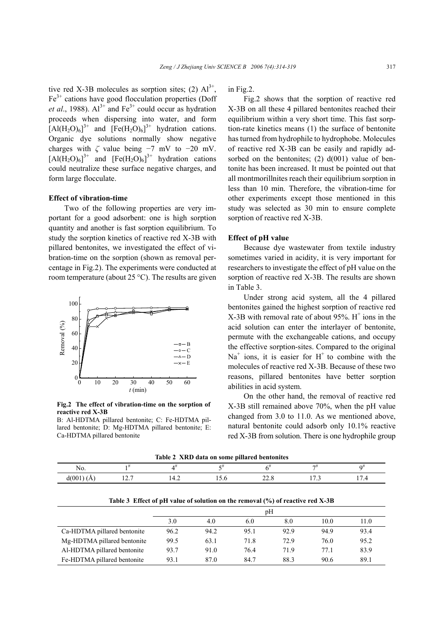tive red X-3B molecules as sorption sites; (2)  $Al^{3+}$ ,  $Fe<sup>3+</sup>$  cations have good flocculation properties (Doff *et al.*, 1988).  $Al^{3+}$  and  $Fe^{3+}$  could occur as hydration proceeds when dispersing into water, and form  $[AI(H_2O)_6]^{3+}$  and  $[Fe(H_2O)_6]^{3+}$  hydration cations. Organic dye solutions normally show negative charges with  $\zeta$  value being  $-7$  mV to  $-20$  mV.  $[AI(H_2O)_6]^{3+}$  and  $[Fe(H_2O)_6]^{3+}$  hydration cations could neutralize these surface negative charges, and form large flocculate.

## **Effect of vibration-time**

Two of the following properties are very important for a good adsorbent: one is high sorption quantity and another is fast sorption equilibrium. To study the sorption kinetics of reactive red X-3B with pillared bentonites, we investigated the effect of vibration-time on the sorption (shown as removal percentage in Fig.2). The experiments were conducted at room temperature (about 25 °C). The results are given



**Fig.2 The effect of vibration-time on the sorption of reactive red X-3B** 

B: Al-HDTMA pillared bentonite; C: Fe-HDTMA pillared bentonite; D: Mg-HDTMA pillared bentonite; E: Ca-HDTMA pillared bentonite

in Fig.2.

Fig.2 shows that the sorption of reactive red X-3B on all these 4 pillared bentonites reached their equilibrium within a very short time. This fast sorption-rate kinetics means (1) the surface of bentonite has turned from hydrophile to hydrophobe. Molecules of reactive red X-3B can be easily and rapidly adsorbed on the bentonites;  $(2)$   $d(001)$  value of bentonite has been increased. It must be pointed out that all montmorillnites reach their equilibrium sorption in less than 10 min. Therefore, the vibration-time for other experiments except those mentioned in this study was selected as 30 min to ensure complete sorption of reactive red X-3B.

#### **Effect of pH value**

Because dye wastewater from textile industry sometimes varied in acidity, it is very important for researchers to investigate the effect of pH value on the sorption of reactive red X-3B. The results are shown in Table 3.

Under strong acid system, all the 4 pillared bentonites gained the highest sorption of reactive red  $X-3B$  with removal rate of about 95%.  $H^+$  ions in the acid solution can enter the interlayer of bentonite, permute with the exchangeable cations, and occupy the effective sorption-sites. Compared to the original  $Na<sup>+</sup>$  ions, it is easier for H<sup>+</sup> to combine with the molecules of reactive red X-3B. Because of these two reasons, pillared bentonites have better sorption abilities in acid system.

On the other hand, the removal of reactive red X-3B still remained above 70%, when the pH value changed from 3.0 to 11.0. As we mentioned above, natural bentonite could adsorb only 10.1% reactive red X-3B from solution. There is one hydrophile group

|  |  | Table 2 XRD data on some pillared bentonites |  |
|--|--|----------------------------------------------|--|
|--|--|----------------------------------------------|--|

| No.         |           |   |       |                | -                             | ∩#                            |
|-------------|-----------|---|-------|----------------|-------------------------------|-------------------------------|
| d(001)<br>. | -<br>14.1 | . | 1.5.0 | $\sim$<br>44.0 | -<br>$\cdot\cdot\cdot$<br>. . | $\overline{\phantom{0}}$<br>. |

|                             | pΗ   |      |      |      |      |      |  |
|-----------------------------|------|------|------|------|------|------|--|
|                             | 3.0  | 4.0  | 6.0  | 8.0  | 10.0 | 11.0 |  |
| Ca-HDTMA pillared bentonite | 96.2 | 94.2 | 95.1 | 92.9 | 94.9 | 93.4 |  |
| Mg-HDTMA pillared bentonite | 99.5 | 63.1 | 71.8 | 72.9 | 76.0 | 95.2 |  |
| Al-HDTMA pillared bentonite | 93.7 | 91.0 | 76.4 | 71.9 | 77.1 | 83.9 |  |
| Fe-HDTMA pillared bentonite | 93.1 | 87.0 | 84.7 | 88.3 | 90.6 | 89.1 |  |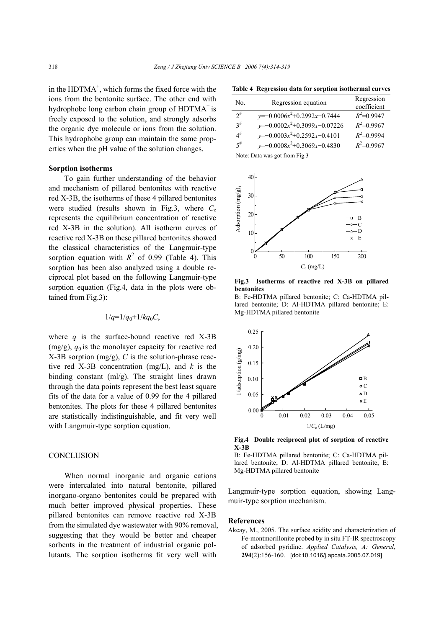in the HDTMA<sup>+</sup>, which forms the fixed force with the ions from the bentonite surface. The other end with hydrophobe long carbon chain group of  $HDTMA<sup>+</sup>$  is freely exposed to the solution, and strongly adsorbs the organic dye molecule or ions from the solution. This hydrophobe group can maintain the same properties when the pH value of the solution changes.

#### **Sorption isotherms**

To gain further understanding of the behavior and mechanism of pillared bentonites with reactive red X-3B, the isotherms of these 4 pillared bentonites were studied (results shown in Fig.3, where *C*<sup>e</sup> represents the equilibrium concentration of reactive red X-3B in the solution). All isotherm curves of reactive red X-3B on these pillared bentonites showed the classical characteristics of the Langmuir-type sorption equation with  $R^2$  of 0.99 (Table 4). This sorption has been also analyzed using a double reciprocal plot based on the following Langmuir-type sorption equation (Fig.4, data in the plots were obtained from Fig.3):

# $1/q=1/q_0+1/kq_0C$ ,

where  $q$  is the surface-bound reactive red  $X$ -3B  $(mg/g)$ ,  $q_0$  is the monolayer capacity for reactive red X-3B sorption (mg/g), *C* is the solution-phrase reactive red X-3B concentration (mg/L), and *k* is the binding constant (ml/g). The straight lines drawn through the data points represent the best least square fits of the data for a value of 0.99 for the 4 pillared bentonites. The plots for these 4 pillared bentonites are statistically indistinguishable, and fit very well with Langmuir-type sorption equation.

## **CONCLUSION**

When normal inorganic and organic cations were intercalated into natural bentonite, pillared inorgano-organo bentonites could be prepared with much better improved physical properties. These pillared bentonites can remove reactive red X-3B from the simulated dye wastewater with 90% removal, suggesting that they would be better and cheaper sorbents in the treatment of industrial organic pollutants. The sorption isotherms fit very well with

**Table 4 Regression data for sorption isothermal curves** No. Regression equation Regression

| No.      | Regression equation             | Regression<br>coefficient |
|----------|---------------------------------|---------------------------|
| $2^{\#}$ | $y=-0.0006x^2+0.2992x-0.7444$   | $R^2 = 0.9947$            |
| $3^{\#}$ | $y=-0.0002x^2+0.3099x-0.07226$  | $R^2$ =0.9967             |
| $4^{\#}$ | $y=-0.0003x^2+0.2592x-0.4101$   | $R^2=0.9994$              |
| $5^{\#}$ | $y=-0.0008x^{2}+0.3069x-0.4830$ | $R^2$ =0.9967             |
|          |                                 |                           |

Note: Data was got from Fig.3



**Fig.3 Isotherms of reactive red X-3B on pillared bentonites** 

B: Fe-HDTMA pillared bentonite; C: Ca-HDTMA pillared bentonite; D: Al-HDTMA pillared bentonite; E: Mg-HDTMA pillared bentonite



**Fig.4 Double reciprocal plot of sorption of reactive X-3B** 

B: Fe-HDTMA pillared bentonite; C: Ca-HDTMA pillared bentonite; D: Al-HDTMA pillared bentonite; E: Mg-HDTMA pillared bentonite

Langmuir-type sorption equation, showing Langmuir-type sorption mechanism.

#### **References**

Akcay, M., 2005. The surface acidity and characterization of Fe-montmorillonite probed by in situ FT-IR spectroscopy of adsorbed pyridine. *Applied Catalysis, A: General*, **294**(2):156-160. [doi:10.1016/j.apcata.2005.07.019]